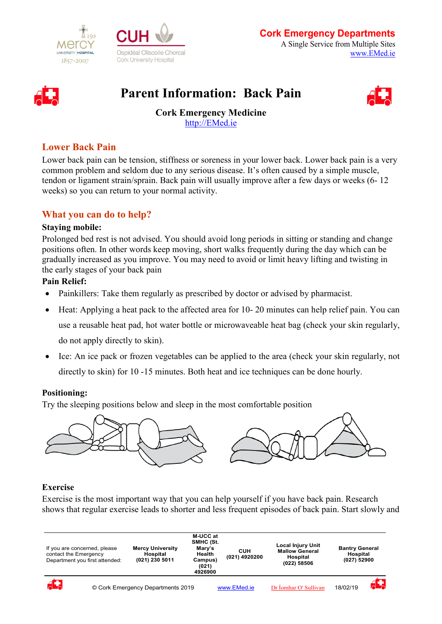





# **Parent Information: Back Pain**



**Cork Emergency Medicine** [http://EMed.ie](http://emed.ie/)

## **Lower Back Pain**

Lower back pain can be tension, stiffness or soreness in your lower back. Lower back pain is a very common problem and seldom due to any serious disease. It's often caused by a simple muscle, tendon or ligament strain/sprain. Back pain will usually improve after a few days or weeks (6- 12 weeks) so you can return to your normal activity.

## **What you can do to help?**

#### **Staying mobile:**

Prolonged bed rest is not advised. You should avoid long periods in sitting or standing and change positions often. In other words keep moving, short walks frequently during the day which can be gradually increased as you improve. You may need to avoid or limit heavy lifting and twisting in the early stages of your back pain

#### **Pain Relief:**

- Painkillers: Take them regularly as prescribed by doctor or advised by pharmacist.
- Heat: Applying a heat pack to the affected area for 10-20 minutes can help relief pain. You can use a reusable heat pad, hot water bottle or microwaveable heat bag (check your skin regularly,

do not apply directly to skin).

• Ice: An ice pack or frozen vegetables can be applied to the area (check your skin regularly, not directly to skin) for 10 -15 minutes. Both heat and ice techniques can be done hourly.

#### **Positioning:**

Try the sleeping positions below and sleep in the most comfortable position



### **Exercise**

Exercise is the most important way that you can help yourself if you have back pain. Research shows that regular exercise leads to shorter and less frequent episodes of back pain. Start slowly and

| If you are concerned, please<br>contact the Emergency<br>Department you first attended: |  | <b>Mercy University</b><br><b>Hospital</b><br>(021) 230 5011 | M-UCC at<br>SMHC (St.<br>Mary's<br>Health<br>Campus)<br>(021)<br>4926900 | <b>Local Injury Unit</b><br><b>Mallow General</b><br><b>CUH</b><br>(021) 4920200<br>Hospital<br>(022) 58506 |                       |          | <b>Bantry General</b><br>Hospital<br>(027) 52900 |  |
|-----------------------------------------------------------------------------------------|--|--------------------------------------------------------------|--------------------------------------------------------------------------|-------------------------------------------------------------------------------------------------------------|-----------------------|----------|--------------------------------------------------|--|
| d.                                                                                      |  | © Cork Emergency Departments 2019                            |                                                                          | www.EMed.ie                                                                                                 | Dr Íomhar O' Sullivan | 18/02/19 | $\overline{A}$                                   |  |